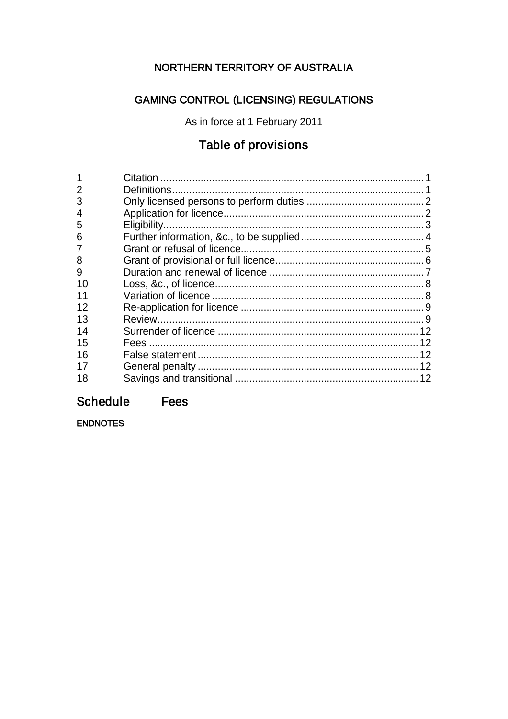# NORTHERN TERRITORY OF AUSTRALIA

# **GAMING CONTROL (LICENSING) REGULATIONS**

As in force at 1 February 2011

# Table of provisions

| $\overline{2}$ |  |
|----------------|--|
| 3              |  |
| 4              |  |
| 5              |  |
| 6              |  |
| 7              |  |
| 8              |  |
| 9              |  |
| 10             |  |
| 11             |  |
| 12             |  |
| 13             |  |
| 14             |  |
| 15             |  |
| 16             |  |
| 17             |  |
| 18             |  |

#### Fees **Schedule**

**ENDNOTES**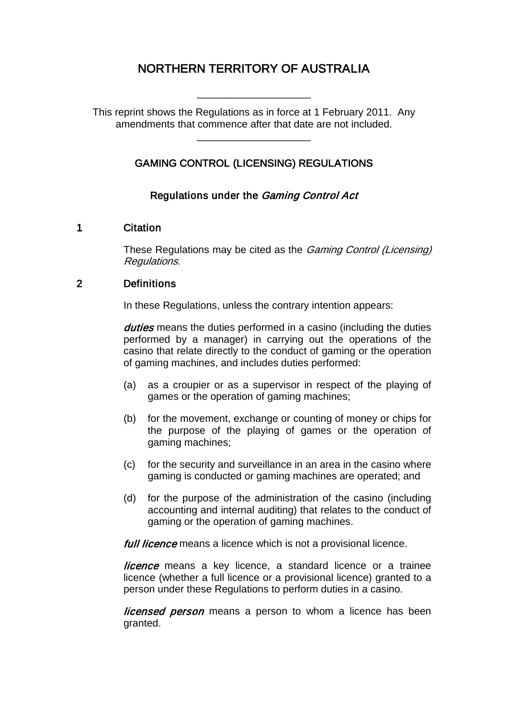# NORTHERN TERRITORY OF AUSTRALIA

This reprint shows the Regulations as in force at 1 February 2011. Any amendments that commence after that date are not included.

\_\_\_\_\_\_\_\_\_\_\_\_\_\_\_\_\_\_\_\_

\_\_\_\_\_\_\_\_\_\_\_\_\_\_\_\_\_\_\_\_

# GAMING CONTROL (LICENSING) REGULATIONS

### Regulations under the Gaming Control Act

#### 1 Citation

These Regulations may be cited as the *Gaming Control (Licensing)* Regulations.

#### 2 Definitions

In these Regulations, unless the contrary intention appears:

duties means the duties performed in a casino (including the duties performed by a manager) in carrying out the operations of the casino that relate directly to the conduct of gaming or the operation of gaming machines, and includes duties performed:

- (a) as a croupier or as a supervisor in respect of the playing of games or the operation of gaming machines;
- (b) for the movement, exchange or counting of money or chips for the purpose of the playing of games or the operation of gaming machines;
- (c) for the security and surveillance in an area in the casino where gaming is conducted or gaming machines are operated; and
- (d) for the purpose of the administration of the casino (including accounting and internal auditing) that relates to the conduct of gaming or the operation of gaming machines.

full licence means a licence which is not a provisional licence.

licence means a key licence, a standard licence or a trainee licence (whether a full licence or a provisional licence) granted to a person under these Regulations to perform duties in a casino.

licensed person means a person to whom a licence has been granted.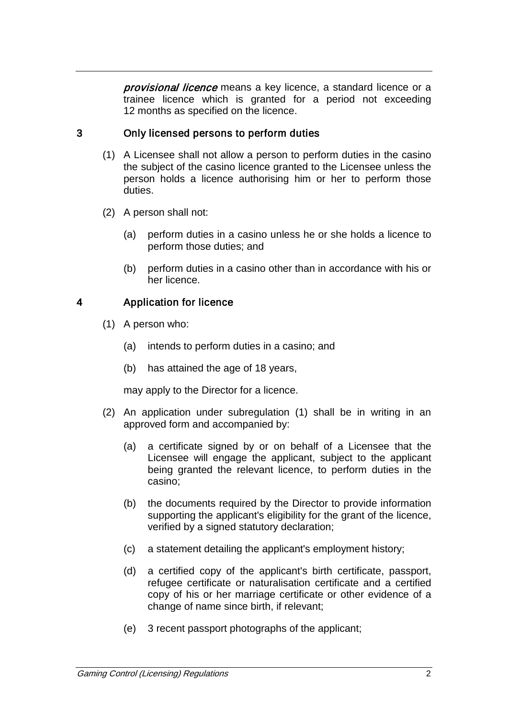provisional licence means a key licence, a standard licence or a trainee licence which is granted for a period not exceeding 12 months as specified on the licence.

# 3 Only licensed persons to perform duties

- (1) A Licensee shall not allow a person to perform duties in the casino the subject of the casino licence granted to the Licensee unless the person holds a licence authorising him or her to perform those duties.
- (2) A person shall not:
	- (a) perform duties in a casino unless he or she holds a licence to perform those duties; and
	- (b) perform duties in a casino other than in accordance with his or her licence.

### 4 Application for licence

- (1) A person who:
	- (a) intends to perform duties in a casino; and
	- (b) has attained the age of 18 years,

may apply to the Director for a licence.

- (2) An application under subregulation (1) shall be in writing in an approved form and accompanied by:
	- (a) a certificate signed by or on behalf of a Licensee that the Licensee will engage the applicant, subject to the applicant being granted the relevant licence, to perform duties in the casino;
	- (b) the documents required by the Director to provide information supporting the applicant's eligibility for the grant of the licence, verified by a signed statutory declaration;
	- (c) a statement detailing the applicant's employment history;
	- (d) a certified copy of the applicant's birth certificate, passport, refugee certificate or naturalisation certificate and a certified copy of his or her marriage certificate or other evidence of a change of name since birth, if relevant;
	- (e) 3 recent passport photographs of the applicant;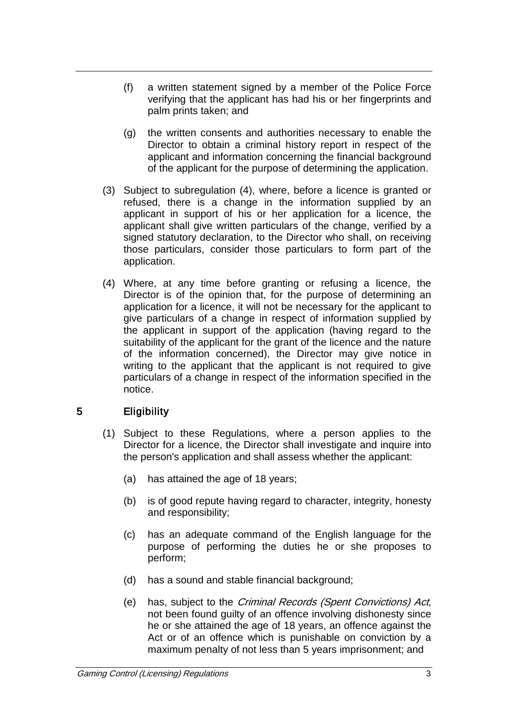- (f) a written statement signed by a member of the Police Force verifying that the applicant has had his or her fingerprints and palm prints taken; and
- (g) the written consents and authorities necessary to enable the Director to obtain a criminal history report in respect of the applicant and information concerning the financial background of the applicant for the purpose of determining the application.
- (3) Subject to subregulation (4), where, before a licence is granted or refused, there is a change in the information supplied by an applicant in support of his or her application for a licence, the applicant shall give written particulars of the change, verified by a signed statutory declaration, to the Director who shall, on receiving those particulars, consider those particulars to form part of the application.
- (4) Where, at any time before granting or refusing a licence, the Director is of the opinion that, for the purpose of determining an application for a licence, it will not be necessary for the applicant to give particulars of a change in respect of information supplied by the applicant in support of the application (having regard to the suitability of the applicant for the grant of the licence and the nature of the information concerned), the Director may give notice in writing to the applicant that the applicant is not required to give particulars of a change in respect of the information specified in the notice.

# 5 Eligibility

- (1) Subject to these Regulations, where a person applies to the Director for a licence, the Director shall investigate and inquire into the person's application and shall assess whether the applicant:
	- (a) has attained the age of 18 years;
	- (b) is of good repute having regard to character, integrity, honesty and responsibility;
	- (c) has an adequate command of the English language for the purpose of performing the duties he or she proposes to perform;
	- (d) has a sound and stable financial background;
	- (e) has, subject to the Criminal Records (Spent Convictions) Act, not been found guilty of an offence involving dishonesty since he or she attained the age of 18 years, an offence against the Act or of an offence which is punishable on conviction by a maximum penalty of not less than 5 years imprisonment; and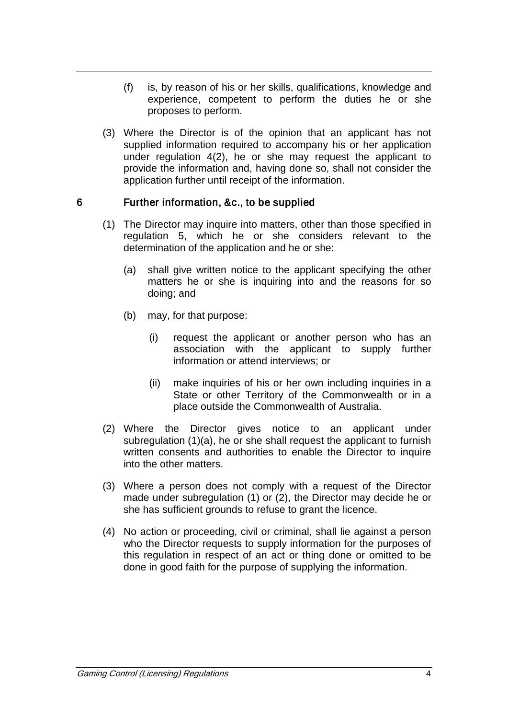- (f) is, by reason of his or her skills, qualifications, knowledge and experience, competent to perform the duties he or she proposes to perform.
- (3) Where the Director is of the opinion that an applicant has not supplied information required to accompany his or her application under regulation 4(2), he or she may request the applicant to provide the information and, having done so, shall not consider the application further until receipt of the information.

### 6 Further information, &c., to be supplied

- (1) The Director may inquire into matters, other than those specified in regulation 5, which he or she considers relevant to the determination of the application and he or she:
	- (a) shall give written notice to the applicant specifying the other matters he or she is inquiring into and the reasons for so doing; and
	- (b) may, for that purpose:
		- (i) request the applicant or another person who has an association with the applicant to supply further information or attend interviews; or
		- (ii) make inquiries of his or her own including inquiries in a State or other Territory of the Commonwealth or in a place outside the Commonwealth of Australia.
- (2) Where the Director gives notice to an applicant under subregulation (1)(a), he or she shall request the applicant to furnish written consents and authorities to enable the Director to inquire into the other matters.
- (3) Where a person does not comply with a request of the Director made under subregulation (1) or (2), the Director may decide he or she has sufficient grounds to refuse to grant the licence.
- (4) No action or proceeding, civil or criminal, shall lie against a person who the Director requests to supply information for the purposes of this regulation in respect of an act or thing done or omitted to be done in good faith for the purpose of supplying the information.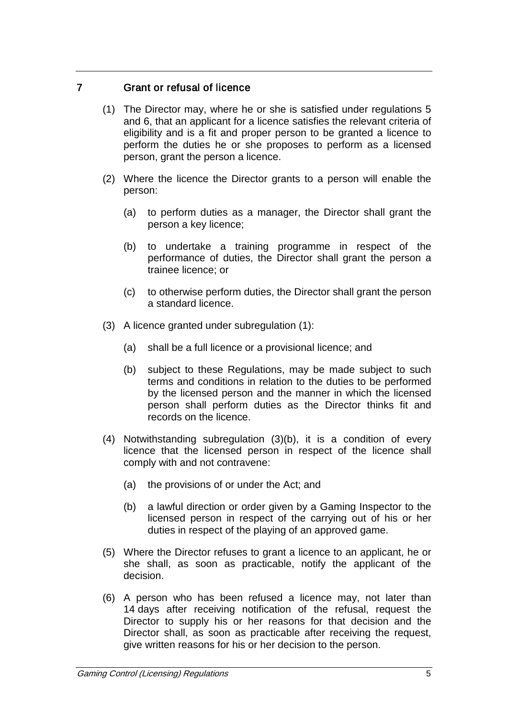### 7 Grant or refusal of licence

- (1) The Director may, where he or she is satisfied under regulations 5 and 6, that an applicant for a licence satisfies the relevant criteria of eligibility and is a fit and proper person to be granted a licence to perform the duties he or she proposes to perform as a licensed person, grant the person a licence.
- (2) Where the licence the Director grants to a person will enable the person:
	- (a) to perform duties as a manager, the Director shall grant the person a key licence;
	- (b) to undertake a training programme in respect of the performance of duties, the Director shall grant the person a trainee licence; or
	- (c) to otherwise perform duties, the Director shall grant the person a standard licence.
- (3) A licence granted under subregulation (1):
	- (a) shall be a full licence or a provisional licence; and
	- (b) subject to these Regulations, may be made subject to such terms and conditions in relation to the duties to be performed by the licensed person and the manner in which the licensed person shall perform duties as the Director thinks fit and records on the licence.
- (4) Notwithstanding subregulation (3)(b), it is a condition of every licence that the licensed person in respect of the licence shall comply with and not contravene:
	- (a) the provisions of or under the Act; and
	- (b) a lawful direction or order given by a Gaming Inspector to the licensed person in respect of the carrying out of his or her duties in respect of the playing of an approved game.
- (5) Where the Director refuses to grant a licence to an applicant, he or she shall, as soon as practicable, notify the applicant of the decision.
- (6) A person who has been refused a licence may, not later than 14 days after receiving notification of the refusal, request the Director to supply his or her reasons for that decision and the Director shall, as soon as practicable after receiving the request, give written reasons for his or her decision to the person.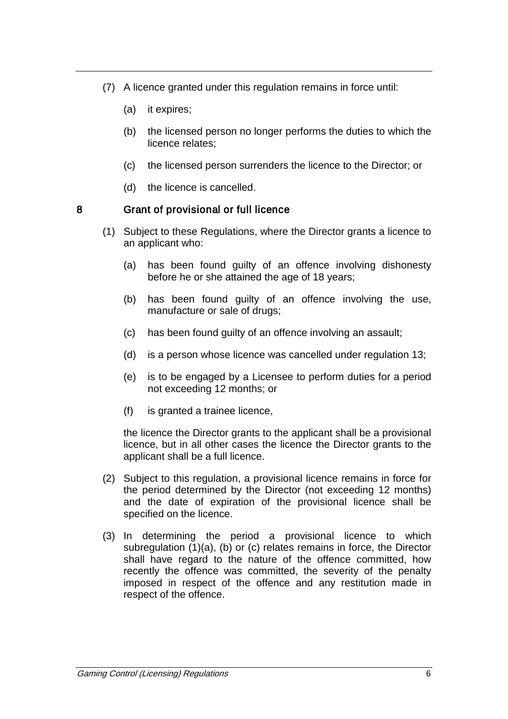- (7) A licence granted under this regulation remains in force until:
	- (a) it expires;
	- (b) the licensed person no longer performs the duties to which the licence relates;
	- (c) the licensed person surrenders the licence to the Director; or
	- (d) the licence is cancelled.

#### 8 Grant of provisional or full licence

- (1) Subject to these Regulations, where the Director grants a licence to an applicant who:
	- (a) has been found guilty of an offence involving dishonesty before he or she attained the age of 18 years;
	- (b) has been found guilty of an offence involving the use, manufacture or sale of drugs;
	- (c) has been found guilty of an offence involving an assault;
	- (d) is a person whose licence was cancelled under regulation 13;
	- (e) is to be engaged by a Licensee to perform duties for a period not exceeding 12 months; or
	- (f) is granted a trainee licence,

the licence the Director grants to the applicant shall be a provisional licence, but in all other cases the licence the Director grants to the applicant shall be a full licence.

- (2) Subject to this regulation, a provisional licence remains in force for the period determined by the Director (not exceeding 12 months) and the date of expiration of the provisional licence shall be specified on the licence.
- (3) In determining the period a provisional licence to which subregulation (1)(a), (b) or (c) relates remains in force, the Director shall have regard to the nature of the offence committed, how recently the offence was committed, the severity of the penalty imposed in respect of the offence and any restitution made in respect of the offence.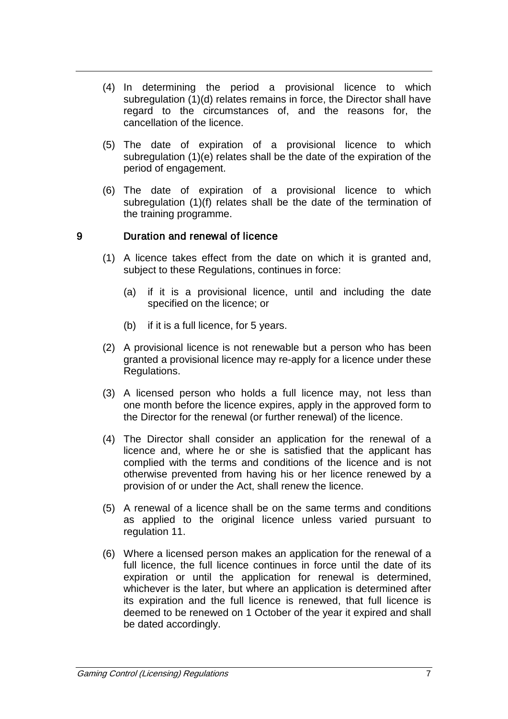- (4) In determining the period a provisional licence to which subregulation (1)(d) relates remains in force, the Director shall have regard to the circumstances of, and the reasons for, the cancellation of the licence.
- (5) The date of expiration of a provisional licence to which subregulation (1)(e) relates shall be the date of the expiration of the period of engagement.
- (6) The date of expiration of a provisional licence to which subregulation (1)(f) relates shall be the date of the termination of the training programme.

### 9 Duration and renewal of licence

- (1) A licence takes effect from the date on which it is granted and, subject to these Regulations, continues in force:
	- (a) if it is a provisional licence, until and including the date specified on the licence; or
	- (b) if it is a full licence, for 5 years.
- (2) A provisional licence is not renewable but a person who has been granted a provisional licence may re-apply for a licence under these Regulations.
- (3) A licensed person who holds a full licence may, not less than one month before the licence expires, apply in the approved form to the Director for the renewal (or further renewal) of the licence.
- (4) The Director shall consider an application for the renewal of a licence and, where he or she is satisfied that the applicant has complied with the terms and conditions of the licence and is not otherwise prevented from having his or her licence renewed by a provision of or under the Act, shall renew the licence.
- (5) A renewal of a licence shall be on the same terms and conditions as applied to the original licence unless varied pursuant to regulation 11.
- (6) Where a licensed person makes an application for the renewal of a full licence, the full licence continues in force until the date of its expiration or until the application for renewal is determined, whichever is the later, but where an application is determined after its expiration and the full licence is renewed, that full licence is deemed to be renewed on 1 October of the year it expired and shall be dated accordingly.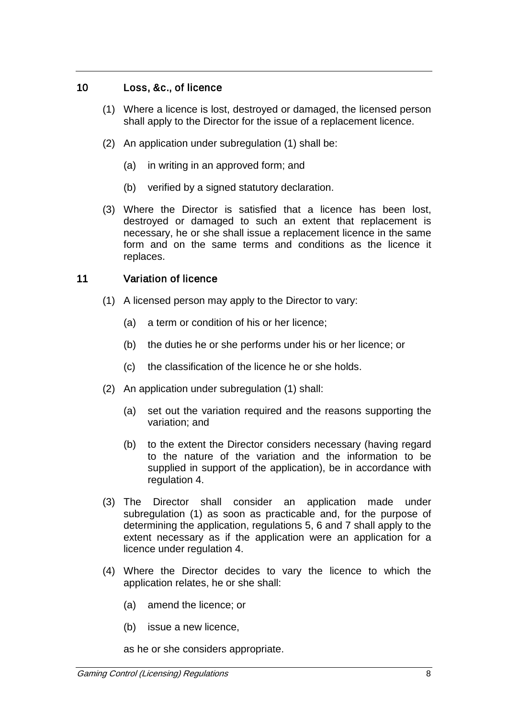### 10 Loss, &c., of licence

- (1) Where a licence is lost, destroyed or damaged, the licensed person shall apply to the Director for the issue of a replacement licence.
- (2) An application under subregulation (1) shall be:
	- (a) in writing in an approved form; and
	- (b) verified by a signed statutory declaration.
- (3) Where the Director is satisfied that a licence has been lost, destroyed or damaged to such an extent that replacement is necessary, he or she shall issue a replacement licence in the same form and on the same terms and conditions as the licence it replaces.

### 11 Variation of licence

- (1) A licensed person may apply to the Director to vary:
	- (a) a term or condition of his or her licence;
	- (b) the duties he or she performs under his or her licence; or
	- (c) the classification of the licence he or she holds.
- (2) An application under subregulation (1) shall:
	- (a) set out the variation required and the reasons supporting the variation; and
	- (b) to the extent the Director considers necessary (having regard to the nature of the variation and the information to be supplied in support of the application), be in accordance with regulation 4.
- (3) The Director shall consider an application made under subregulation (1) as soon as practicable and, for the purpose of determining the application, regulations 5, 6 and 7 shall apply to the extent necessary as if the application were an application for a licence under regulation 4.
- (4) Where the Director decides to vary the licence to which the application relates, he or she shall:
	- (a) amend the licence; or
	- (b) issue a new licence,

as he or she considers appropriate.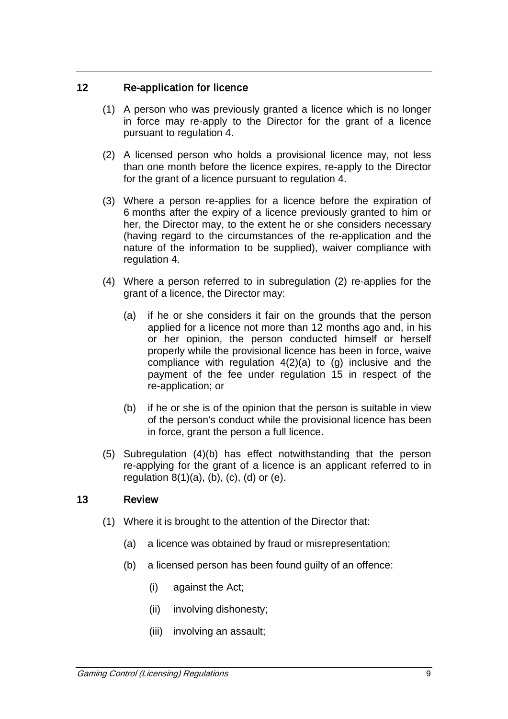### 12 Re-application for licence

- (1) A person who was previously granted a licence which is no longer in force may re-apply to the Director for the grant of a licence pursuant to regulation 4.
- (2) A licensed person who holds a provisional licence may, not less than one month before the licence expires, re-apply to the Director for the grant of a licence pursuant to regulation 4.
- (3) Where a person re-applies for a licence before the expiration of 6 months after the expiry of a licence previously granted to him or her, the Director may, to the extent he or she considers necessary (having regard to the circumstances of the re-application and the nature of the information to be supplied), waiver compliance with regulation 4.
- (4) Where a person referred to in subregulation (2) re-applies for the grant of a licence, the Director may:
	- (a) if he or she considers it fair on the grounds that the person applied for a licence not more than 12 months ago and, in his or her opinion, the person conducted himself or herself properly while the provisional licence has been in force, waive compliance with regulation  $4(2)(a)$  to  $(q)$  inclusive and the payment of the fee under regulation 15 in respect of the re-application; or
	- (b) if he or she is of the opinion that the person is suitable in view of the person's conduct while the provisional licence has been in force, grant the person a full licence.
- (5) Subregulation (4)(b) has effect notwithstanding that the person re-applying for the grant of a licence is an applicant referred to in regulation  $8(1)(a)$ ,  $(b)$ ,  $(c)$ ,  $(d)$  or  $(e)$ .

#### 13 Review

- (1) Where it is brought to the attention of the Director that:
	- (a) a licence was obtained by fraud or misrepresentation;
	- (b) a licensed person has been found guilty of an offence:
		- (i) against the Act;
		- (ii) involving dishonesty;
		- (iii) involving an assault;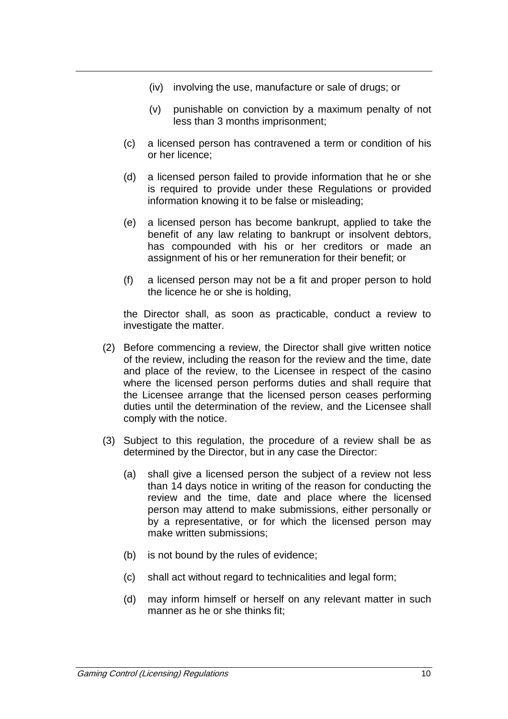- (iv) involving the use, manufacture or sale of drugs; or
- (v) punishable on conviction by a maximum penalty of not less than 3 months imprisonment;
- (c) a licensed person has contravened a term or condition of his or her licence;
- (d) a licensed person failed to provide information that he or she is required to provide under these Regulations or provided information knowing it to be false or misleading;
- (e) a licensed person has become bankrupt, applied to take the benefit of any law relating to bankrupt or insolvent debtors, has compounded with his or her creditors or made an assignment of his or her remuneration for their benefit; or
- (f) a licensed person may not be a fit and proper person to hold the licence he or she is holding,

the Director shall, as soon as practicable, conduct a review to investigate the matter.

- (2) Before commencing a review, the Director shall give written notice of the review, including the reason for the review and the time, date and place of the review, to the Licensee in respect of the casino where the licensed person performs duties and shall require that the Licensee arrange that the licensed person ceases performing duties until the determination of the review, and the Licensee shall comply with the notice.
- (3) Subject to this regulation, the procedure of a review shall be as determined by the Director, but in any case the Director:
	- (a) shall give a licensed person the subject of a review not less than 14 days notice in writing of the reason for conducting the review and the time, date and place where the licensed person may attend to make submissions, either personally or by a representative, or for which the licensed person may make written submissions;
	- (b) is not bound by the rules of evidence;
	- (c) shall act without regard to technicalities and legal form;
	- (d) may inform himself or herself on any relevant matter in such manner as he or she thinks fit;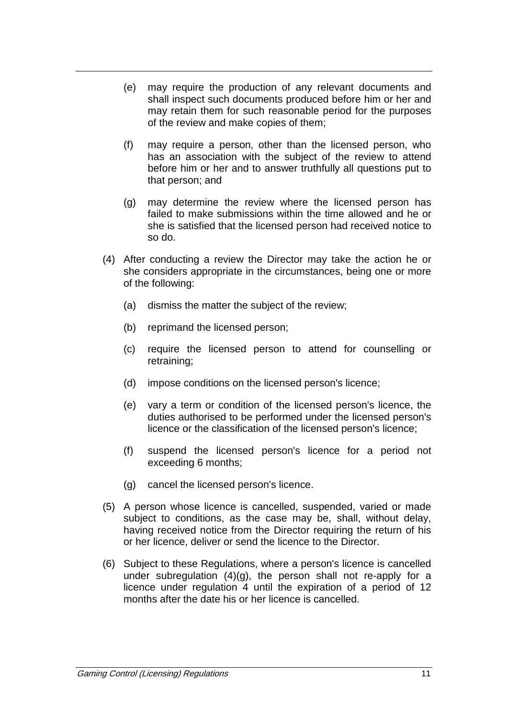- (e) may require the production of any relevant documents and shall inspect such documents produced before him or her and may retain them for such reasonable period for the purposes of the review and make copies of them;
- (f) may require a person, other than the licensed person, who has an association with the subject of the review to attend before him or her and to answer truthfully all questions put to that person; and
- (g) may determine the review where the licensed person has failed to make submissions within the time allowed and he or she is satisfied that the licensed person had received notice to so do.
- (4) After conducting a review the Director may take the action he or she considers appropriate in the circumstances, being one or more of the following:
	- (a) dismiss the matter the subject of the review;
	- (b) reprimand the licensed person;
	- (c) require the licensed person to attend for counselling or retraining;
	- (d) impose conditions on the licensed person's licence;
	- (e) vary a term or condition of the licensed person's licence, the duties authorised to be performed under the licensed person's licence or the classification of the licensed person's licence;
	- (f) suspend the licensed person's licence for a period not exceeding 6 months;
	- (g) cancel the licensed person's licence.
- (5) A person whose licence is cancelled, suspended, varied or made subject to conditions, as the case may be, shall, without delay, having received notice from the Director requiring the return of his or her licence, deliver or send the licence to the Director.
- (6) Subject to these Regulations, where a person's licence is cancelled under subregulation (4)(g), the person shall not re-apply for a licence under regulation 4 until the expiration of a period of 12 months after the date his or her licence is cancelled.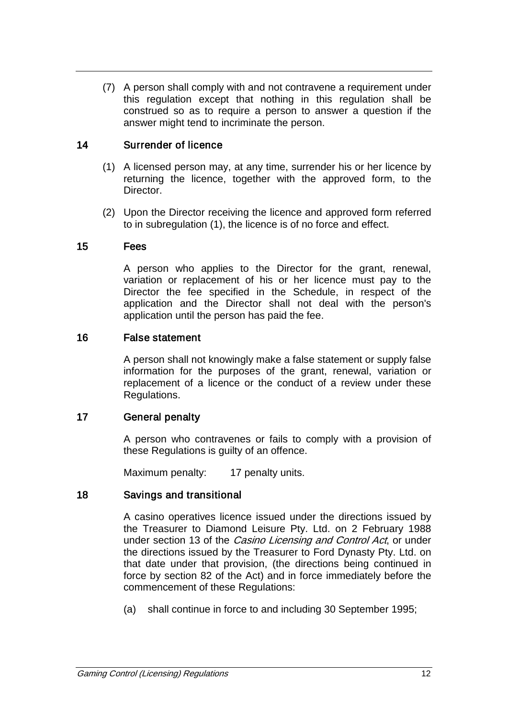(7) A person shall comply with and not contravene a requirement under this regulation except that nothing in this regulation shall be construed so as to require a person to answer a question if the answer might tend to incriminate the person.

#### 14 Surrender of licence

- (1) A licensed person may, at any time, surrender his or her licence by returning the licence, together with the approved form, to the Director.
- (2) Upon the Director receiving the licence and approved form referred to in subregulation (1), the licence is of no force and effect.

#### 15 Fees

A person who applies to the Director for the grant, renewal, variation or replacement of his or her licence must pay to the Director the fee specified in the Schedule, in respect of the application and the Director shall not deal with the person's application until the person has paid the fee.

#### 16 False statement

A person shall not knowingly make a false statement or supply false information for the purposes of the grant, renewal, variation or replacement of a licence or the conduct of a review under these Regulations.

#### 17 General penalty

A person who contravenes or fails to comply with a provision of these Regulations is guilty of an offence.

Maximum penalty: 17 penalty units.

#### 18 Savings and transitional

A casino operatives licence issued under the directions issued by the Treasurer to Diamond Leisure Pty. Ltd. on 2 February 1988 under section 13 of the *Casino Licensing and Control Act*, or under the directions issued by the Treasurer to Ford Dynasty Pty. Ltd. on that date under that provision, (the directions being continued in force by section 82 of the Act) and in force immediately before the commencement of these Regulations:

(a) shall continue in force to and including 30 September 1995;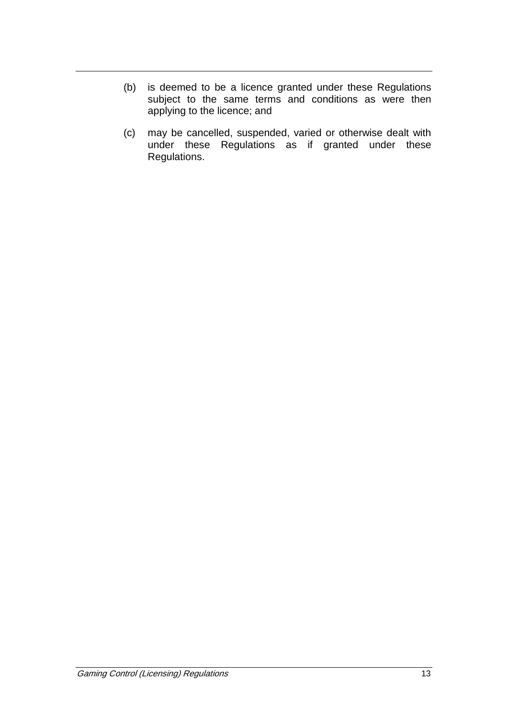- (b) is deemed to be a licence granted under these Regulations subject to the same terms and conditions as were then applying to the licence; and
- (c) may be cancelled, suspended, varied or otherwise dealt with under these Regulations as if granted under these Regulations.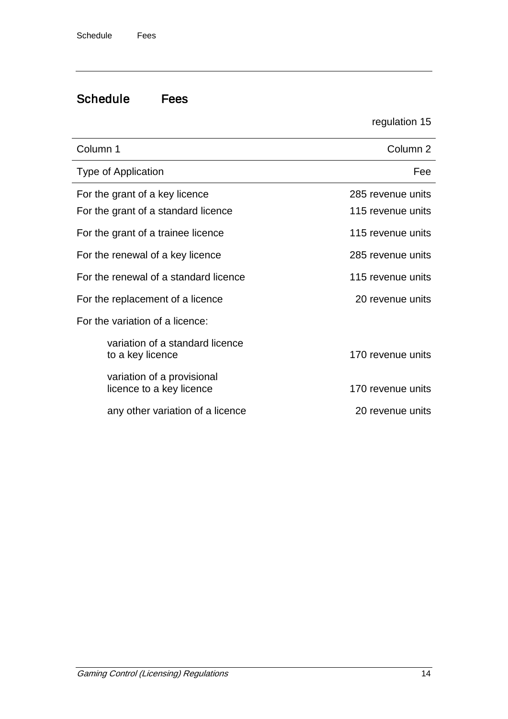# Schedule Fees

regulation 15

| Column 1                                                              | Column <sub>2</sub>                    |  |
|-----------------------------------------------------------------------|----------------------------------------|--|
| Type of Application                                                   | Fee                                    |  |
| For the grant of a key licence<br>For the grant of a standard licence | 285 revenue units<br>115 revenue units |  |
| For the grant of a trainee licence                                    | 115 revenue units                      |  |
| For the renewal of a key licence                                      | 285 revenue units                      |  |
| For the renewal of a standard licence                                 | 115 revenue units                      |  |
| For the replacement of a licence                                      | 20 revenue units                       |  |
| For the variation of a licence:                                       |                                        |  |
| variation of a standard licence<br>to a key licence                   | 170 revenue units                      |  |
| variation of a provisional<br>licence to a key licence                | 170 revenue units                      |  |
| any other variation of a licence                                      | 20 revenue units                       |  |